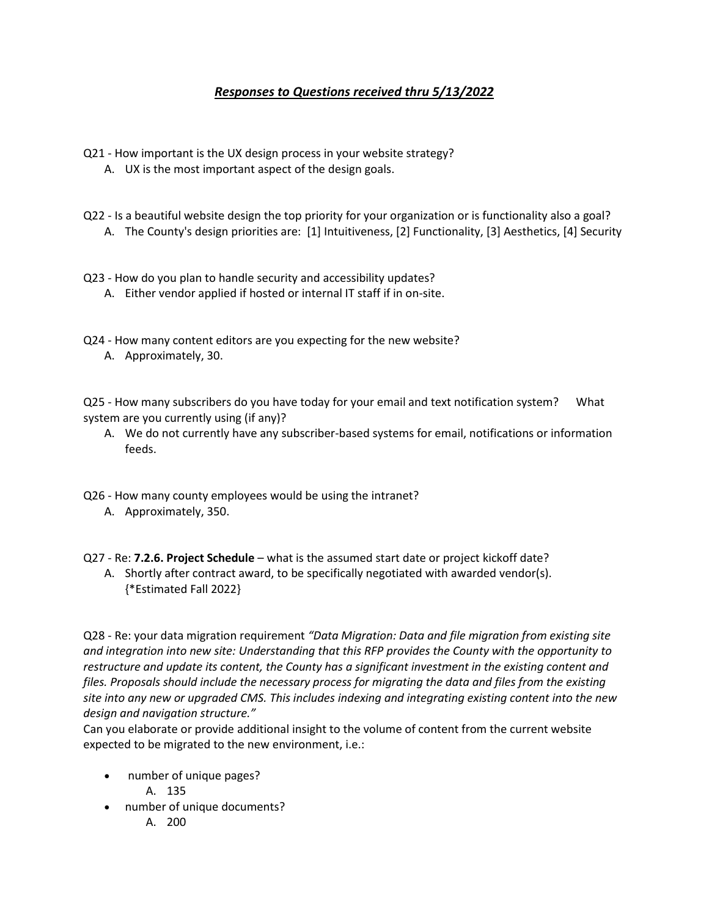## *Responses to Questions received thru 5/13/2022*

- Q21 How important is the UX design process in your website strategy?
	- A. UX is the most important aspect of the design goals.
- Q22 Is a beautiful website design the top priority for your organization or is functionality also a goal?
	- A. The County's design priorities are: [1] Intuitiveness, [2] Functionality, [3] Aesthetics, [4] Security
- Q23 How do you plan to handle security and accessibility updates?
	- A. Either vendor applied if hosted or internal IT staff if in on-site.
- Q24 How many content editors are you expecting for the new website?
	- A. Approximately, 30.

Q25 - How many subscribers do you have today for your email and text notification system? What system are you currently using (if any)?

A. We do not currently have any subscriber-based systems for email, notifications or information feeds.

Q26 - How many county employees would be using the intranet?

A. Approximately, 350.

Q27 - Re: **7.2.6. Project Schedule** – what is the assumed start date or project kickoff date?

A. Shortly after contract award, to be specifically negotiated with awarded vendor(s). {\*Estimated Fall 2022}

Q28 - Re: your data migration requirement *"Data Migration: Data and file migration from existing site and integration into new site: Understanding that this RFP provides the County with the opportunity to restructure and update its content, the County has a significant investment in the existing content and files. Proposals should include the necessary process for migrating the data and files from the existing site into any new or upgraded CMS. This includes indexing and integrating existing content into the new design and navigation structure."*

Can you elaborate or provide additional insight to the volume of content from the current website expected to be migrated to the new environment, i.e.:

- number of unique pages?
	- A. 135
- number of unique documents?
	- A. 200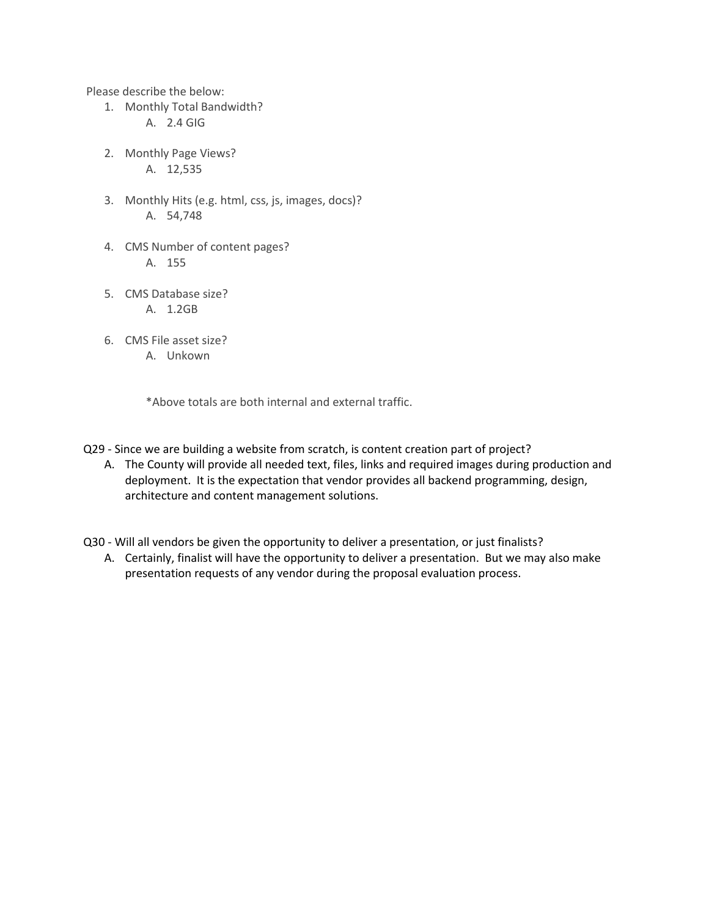Please describe the below:

- 1. Monthly Total Bandwidth? A. 2.4 GIG
- 2. Monthly Page Views? A. 12,535
- 3. Monthly Hits (e.g. html, css, js, images, docs)? A. 54,748
- 4. CMS Number of content pages? A. 155
- 5. CMS Database size? A. 1.2GB
- 6. CMS File asset size? A. Unkown

\*Above totals are both internal and external traffic.

- Q29 Since we are building a website from scratch, is content creation part of project?
	- A. The County will provide all needed text, files, links and required images during production and deployment. It is the expectation that vendor provides all backend programming, design, architecture and content management solutions.

Q30 - Will all vendors be given the opportunity to deliver a presentation, or just finalists?

A. Certainly, finalist will have the opportunity to deliver a presentation. But we may also make presentation requests of any vendor during the proposal evaluation process.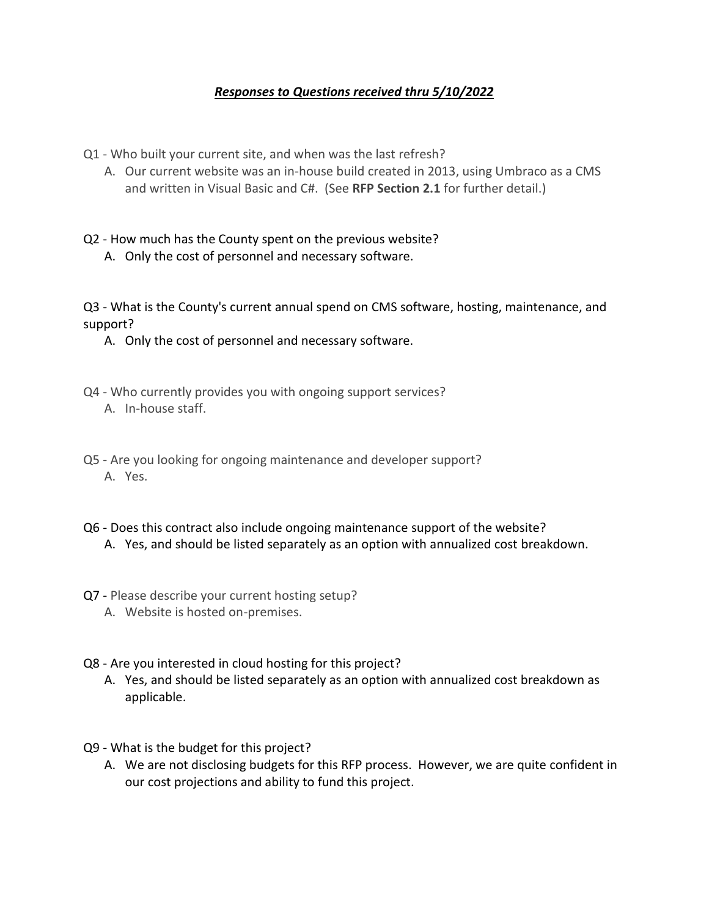## *Responses to Questions received thru 5/10/2022*

Q1 - Who built your current site, and when was the last refresh?

A. Our current website was an in-house build created in 2013, using Umbraco as a CMS and written in Visual Basic and C#. (See **RFP Section 2.1** for further detail.)

Q2 - How much has the County spent on the previous website?

A. Only the cost of personnel and necessary software.

Q3 - What is the County's current annual spend on CMS software, hosting, maintenance, and support?

A. Only the cost of personnel and necessary software.

- Q4 Who currently provides you with ongoing support services?
	- A. In-house staff.
- Q5 Are you looking for ongoing maintenance and developer support? A. Yes.
- Q6 Does this contract also include ongoing maintenance support of the website?
	- A. Yes, and should be listed separately as an option with annualized cost breakdown.
- Q7 Please describe your current hosting setup?
	- A. Website is hosted on-premises.
- Q8 Are you interested in cloud hosting for this project?
	- A. Yes, and should be listed separately as an option with annualized cost breakdown as applicable.
- Q9 What is the budget for this project?
	- A. We are not disclosing budgets for this RFP process. However, we are quite confident in our cost projections and ability to fund this project.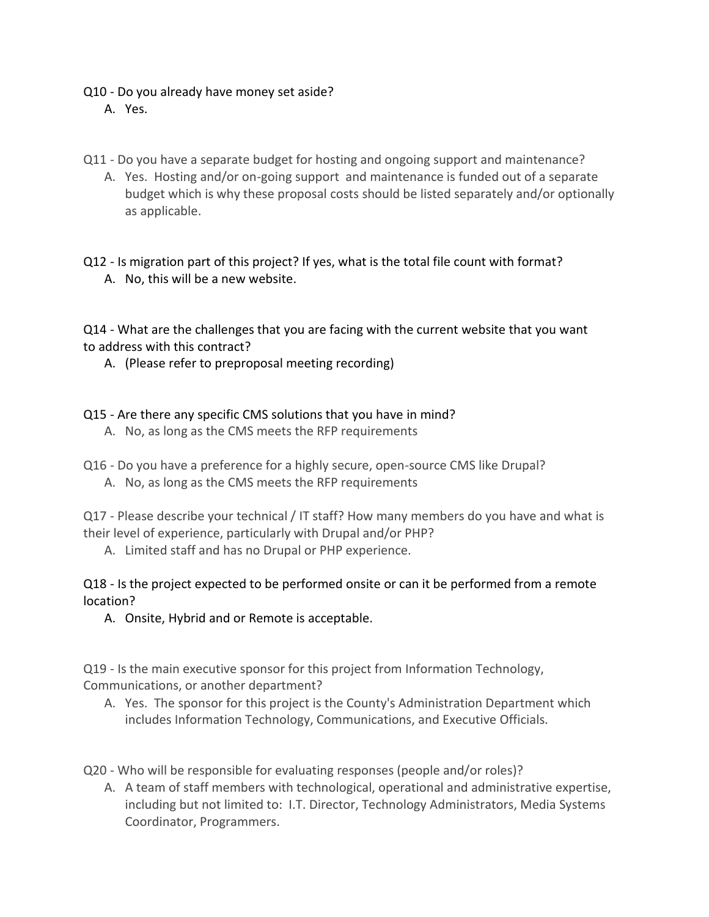## Q10 - Do you already have money set aside?

- A. Yes.
- Q11 Do you have a separate budget for hosting and ongoing support and maintenance?
	- A. Yes. Hosting and/or on-going support and maintenance is funded out of a separate budget which is why these proposal costs should be listed separately and/or optionally as applicable.

Q12 - Is migration part of this project? If yes, what is the total file count with format? A. No, this will be a new website.

Q14 - What are the challenges that you are facing with the current website that you want to address with this contract?

A. (Please refer to preproposal meeting recording)

Q15 - Are there any specific CMS solutions that you have in mind?

- A. No, as long as the CMS meets the RFP requirements
- Q16 Do you have a preference for a highly secure, open-source CMS like Drupal?
	- A. No, as long as the CMS meets the RFP requirements

Q17 - Please describe your technical / IT staff? How many members do you have and what is their level of experience, particularly with Drupal and/or PHP?

A. Limited staff and has no Drupal or PHP experience.

Q18 - Is the project expected to be performed onsite or can it be performed from a remote location?

A. Onsite, Hybrid and or Remote is acceptable.

Q19 - Is the main executive sponsor for this project from Information Technology, Communications, or another department?

A. Yes. The sponsor for this project is the County's Administration Department which includes Information Technology, Communications, and Executive Officials.

Q20 - Who will be responsible for evaluating responses (people and/or roles)?

A. A team of staff members with technological, operational and administrative expertise, including but not limited to: I.T. Director, Technology Administrators, Media Systems Coordinator, Programmers.